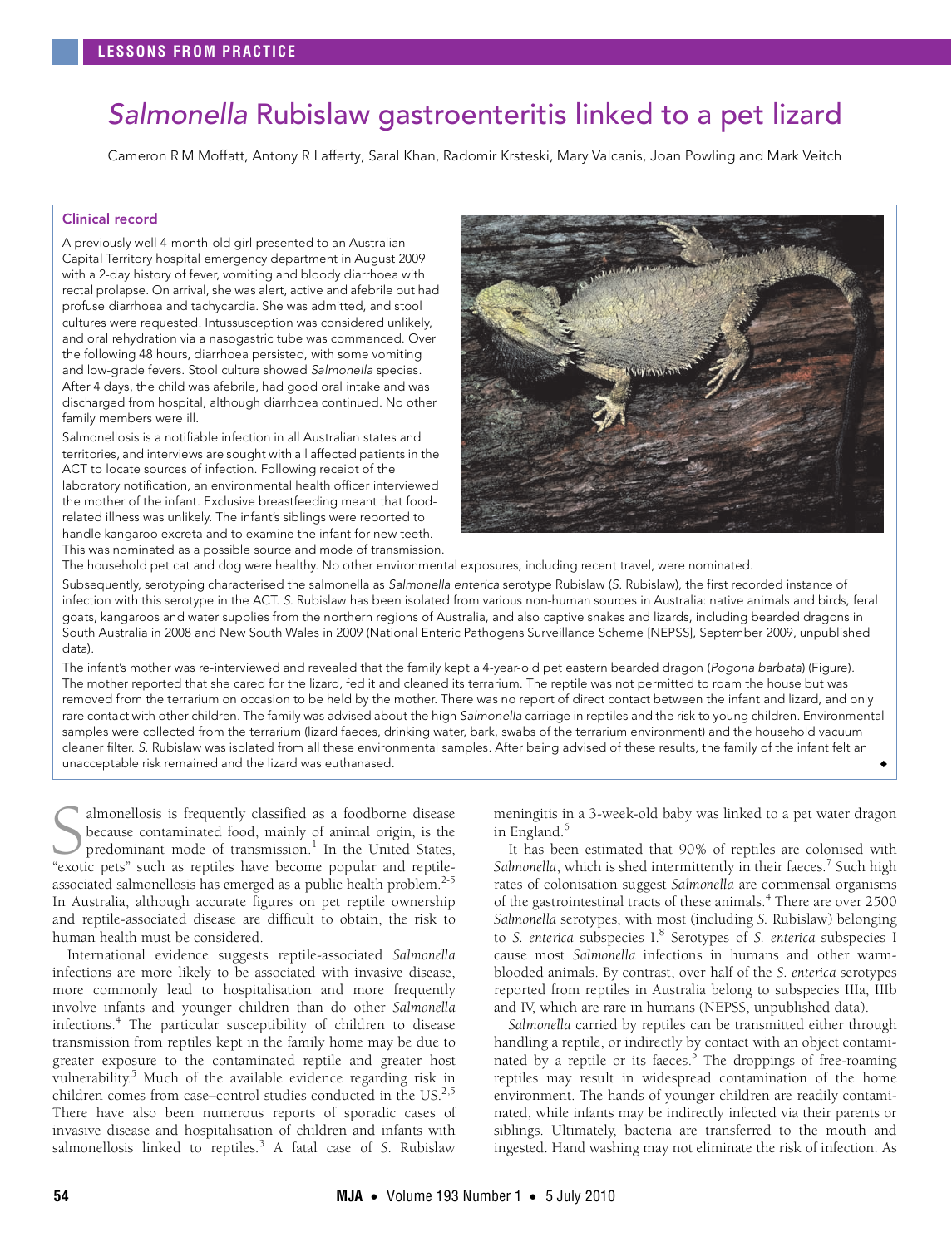# <span id="page-0-0"></span>Salmonella Rubislaw gastroenteritis linked to a pet lizard

Cameron R M Moffatt, Antony R Lafferty, Saral Khan, Radomir Krsteski, Mary Valcanis, Joan Powling and Mark Veitch

# Clinical record

A previously well 4-month-old girl presented to an Australian Capital Territory hospital emergency department in August 2009 with a 2-day history of fever, vomiting and bloody diarrhoea with rectal prolapse. On arrival, she was alert, active and afebrile but had profuse diarrhoea and tachycardia. She was admitted, and stool cultures were requested. Intussusception was considered unlikely, and oral rehydration via a nasogastric tube was commenced. Over the following 48 hours, diarrhoea persisted, with some vomiting and low-grade fevers. Stool culture showed Salmonella species. After 4 days, the child was afebrile, had good oral intake and was discharged from hospital, although diarrhoea continued. No other family members were ill.

Salmonellosis is a notifiable infection in all Australian states and territories, and interviews are sought with all affected patients in the ACT to locate sources of infection. Following receipt of the laboratory notification, an environmental health officer interviewed the mother of the infant. Exclusive breastfeeding meant that foodrelated illness was unlikely. The infant's siblings were reported to handle kangaroo excreta and to examine the infant for new teeth. This was nominated as a possible source and mode of transmission.



The household pet cat and dog were healthy. No other environmental exposures, including recent travel, were nominated.

Subsequently, serotyping characterised the salmonella as Salmonella enterica serotype Rubislaw (S. Rubislaw), the first recorded instance of infection with this serotype in the ACT. S. Rubislaw has been isolated from various non-human sources in Australia: native animals and birds, feral goats, kangaroos and water supplies from the northern regions of Australia, and also captive snakes and lizards, including bearded dragons in South Australia in 2008 and New South Wales in 2009 (National Enteric Pathogens Surveillance Scheme [NEPSS], September 2009, unpublished data).

The infant's mother was re-interviewed and revealed that the family kept a 4-year-old pet eastern bearded dragon (Pogona barbata) (Figure). The mother reported that she cared for the lizard, fed it and cleaned its terrarium. The reptile was not permitted to roam the house but was removed from the terrarium on occasion to be held by the mother. There was no report of direct contact between the infant and lizard, and only rare contact with other children. The family was advised about the high Salmonella carriage in reptiles and the risk to young children. Environmental samples were collected from the terrarium (lizard faeces, drinking water, bark, swabs of the terrarium environment) and the household vacuum cleaner filter. S. Rubislaw was isolated from all these environmental samples. After being advised of these results, the family of the infant felt an unacceptable risk remained and the lizard was euthanased.

almonellosis is frequently classified as a foodborne disease because contaminated food, mainly of animal origin, is the predominant mode of transmission.<sup>[1](#page-1-0)</sup> In the United States, Salmonellosis is frequently classified as a foodborne disease<br>because contaminated food, mainly of animal origin, is the<br>predominant mode of transmission.<sup>1</sup> In the United States,<br>"exotic pets" such as reptiles have become associated salmonellosis has emerged as a public health problem. $2-5$  $2-5$  $2-5$ In Australia, although accurate figures on pet reptile ownership and reptile-associated disease are difficult to obtain, the risk to human health must be considered.

transmission from reptiles kept in the family home may be due to greater exposure to the co[nta](#page-0-0)[min](#page-1-8)ated reptile and greater host oulnerability.<sup>5</sup> Much of the available evidence regarding risk in ww.mj. mach children comes from case–control studies conducted in the US.<sup>2,[5](#page-1-2)</sup> International evidence suggests reptile-associated *Salmonella* infections are more likely to be associated with invasive disease, more commonly lead to hospitalisation and more frequently involve infants and younger children than do other *Salmonella* infections[.4](#page-1-3) The particular susceptibility of children to disease There have also been numerous reports of sporadic cases of invasive disease and hospitalisation of children and infants with salmonellosis linked to reptiles.<sup>[3](#page-1-4)</sup> A fatal case of *S*. Rubislaw

meningitis in a 3-week-old baby was linked to a pet water dragon in England.<sup>[6](#page-1-5)</sup>

It has been estimated that 90% of reptiles are colonised with Salmonella, which is shed intermittently in their faeces.<sup>[7](#page-1-6)</sup> Such high rates of colonisation suggest *Salmonella* are commensal organisms of the gastrointestinal tracts of these animals.<sup>[4](#page-1-3)</sup> There are over 2500 *Salmonella* serotypes, with most (including *S.* Rubislaw) belonging to *S. enterica* subspecies I.<sup>8</sup> Serotypes of *S. enterica* subspecies I cause most *Salmonella* infections in humans and other warmblooded animals. By contrast, over half of the *S. enterica* serotypes reported from reptiles in Australia belong to subspecies IIIa, IIIb and IV, which are rare in humans (NEPSS, unpublished data).

*Salmonella* carried by reptiles can be transmitted either through handling a reptile, or indirectly by contact with an object contami-nated by a reptile or its faeces.<sup>[5](#page-1-2)</sup> The droppings of free-roaming reptiles may result in widespread contamination of the home environment. The hands of younger children are readily contaminated, while infants may be indirectly infected via their parents or siblings. Ultimately, bacteria are transferred to the mouth and ingested. Hand washing may not eliminate the risk of infection. As